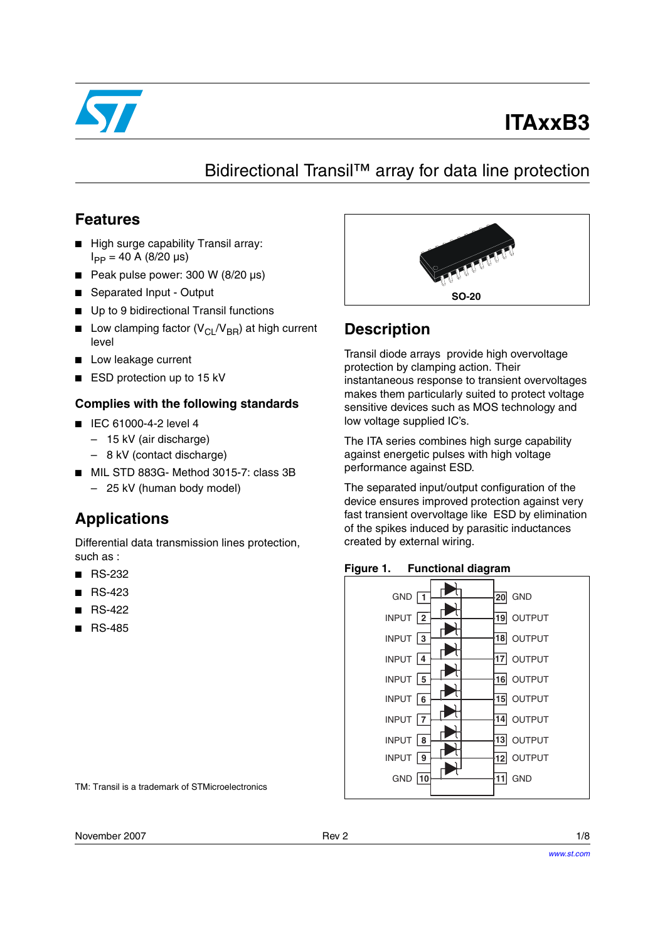

# **ITAxxB3**

# Bidirectional Transil™ array for data line protection

## **Features**

- High surge capability Transil array:  $I_{PP} = 40$  A (8/20 µs)
- Peak pulse power: 300 W (8/20 µs)
- Separated Input Output
- Up to 9 bidirectional Transil functions
- **■** Low clamping factor ( $V_{\text{Cl}}/V_{\text{BR}}$ ) at high current level
- Low leakage current
- ESD protection up to 15 kV

## **Complies with the following standards**

- IEC 61000-4-2 level 4
	- 15 kV (air discharge)
	- 8 kV (contact discharge)
- MIL STD 883G- Method 3015-7: class 3B – 25 kV (human body model)

## **Applications**

Differential data transmission lines protection, such as :

- RS-232
- RS-423
- RS-422
- RS-485



## **Description**

Transil diode arrays provide high overvoltage protection by clamping action. Their instantaneous response to transient overvoltages makes them particularly suited to protect voltage sensitive devices such as MOS technology and low voltage supplied IC's.

The ITA series combines high surge capability against energetic pulses with high voltage performance against ESD.

The separated input/output configuration of the device ensures improved protection against very fast transient overvoltage like ESD by elimination of the spikes induced by parasitic inductances created by external wiring.





TM: Transil is a trademark of STMicroelectronics

November 2007 **Rev 2** Rev 2 **Rev 2 Rev 2 Rev 2 1/8**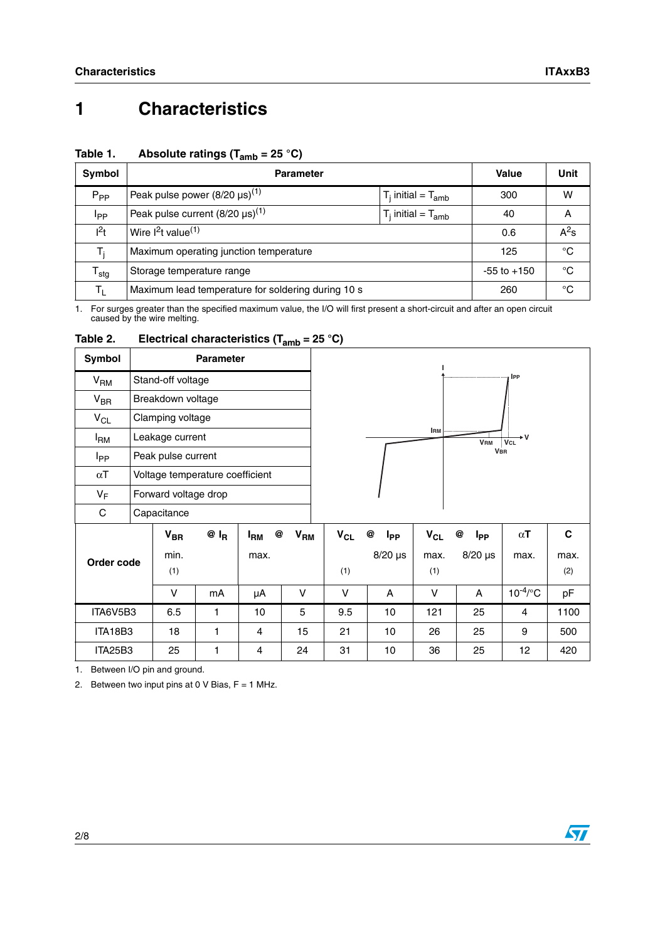# **1 Characteristics**

| Symbol                     | <b>Parameter</b>                                   | Value                     | Unit         |   |
|----------------------------|----------------------------------------------------|---------------------------|--------------|---|
| $P_{PP}$                   | Peak pulse power $(8/20 \,\mu s)^{(1)}$            | $T_i$ initial = $T_{amb}$ | 300          | w |
| <b>I</b> pp                | Peak pulse current $(8/20 \,\mu s)^{(1)}$          | $T_i$ initial = $T_{amb}$ | 40           | A |
| $l^2t$                     | Wire $1^2t$ value <sup>(1)</sup>                   | 0.6                       | $A^2$ s      |   |
| T,                         | Maximum operating junction temperature             | 125                       | $^{\circ}$ C |   |
| ${\mathsf T}_{\text{stg}}$ | Storage temperature range                          | $-55$ to $+150$           | °C           |   |
| Τı.                        | Maximum lead temperature for soldering during 10 s | 260                       | °C           |   |

#### Table 1. Absolute ratings (T<sub>amb</sub> = 25 °C)

<span id="page-1-0"></span>1. For surges greater than the specified maximum value, the I/O will first present a short-circuit and after an open circuit caused by the wire melting.

| Symbol                 | <b>Parameter</b>     |                                 |        |                            |                 |          |                             |            |                             |                 |      |
|------------------------|----------------------|---------------------------------|--------|----------------------------|-----------------|----------|-----------------------------|------------|-----------------------------|-----------------|------|
| V <sub>RM</sub>        |                      | Stand-off voltage               |        |                            |                 |          |                             |            |                             | IPP             |      |
| $V_{BR}$               |                      | Breakdown voltage               |        |                            |                 |          |                             |            |                             |                 |      |
| $V_{CL}$               | Clamping voltage     |                                 |        |                            |                 |          |                             |            |                             |                 |      |
| <sup>I</sup> RM        | Leakage current      |                                 |        |                            |                 |          |                             | <b>IRM</b> | <b>VRM</b>                  | ٠v<br>VCL       |      |
| <b>I</b> <sub>PP</sub> | Peak pulse current   |                                 |        |                            |                 |          |                             |            | <b>VBR</b>                  |                 |      |
| $\alpha$ T             |                      | Voltage temperature coefficient |        |                            |                 |          |                             |            |                             |                 |      |
| $V_F$                  | Forward voltage drop |                                 |        |                            |                 |          |                             |            |                             |                 |      |
| C                      | Capacitance          |                                 |        |                            |                 |          |                             |            |                             |                 |      |
|                        |                      | $V_{BR}$                        | $@I_R$ | @<br><b>I<sub>RM</sub></b> | V <sub>RM</sub> | $V_{CL}$ | @<br><b>I</b> <sub>PP</sub> | $V_{CL}$   | @<br><b>I</b> <sub>PP</sub> | $\alpha$ T      | C    |
| Order code             |                      | min.                            |        | max.                       |                 |          | $8/20$ µs                   | max.       | $8/20 \,\mu s$              | max.            | max. |
|                        |                      | (1)                             |        |                            |                 | (1)      |                             | (1)        |                             |                 | (2)  |
|                        |                      | v                               | mA     | μA                         | V               | v        | A                           | V          | A                           | $10^{-4}$ /°C   | pF   |
| ITA6V5B3               |                      | 6.5                             | 1      | 10                         | 5               | 9.5      | 10                          | 121        | 25                          | 4               | 1100 |
| ITA18B3                |                      | 18                              | 1      | 4                          | 15              | 21       | 10                          | 26         | 25                          | 9               | 500  |
| <b>ITA25B3</b>         |                      | 25                              | 1      | 4                          | 24              | 31       | 10                          | 36         | 25                          | 12 <sub>2</sub> | 420  |

#### <span id="page-1-2"></span>Table 2. **Electrical characteristics (T<sub>amb</sub> = 25 °C)**

<span id="page-1-1"></span>1. Between I/O pin and ground.

2. Between two input pins at 0 V Bias,  $F = 1$  MHz.

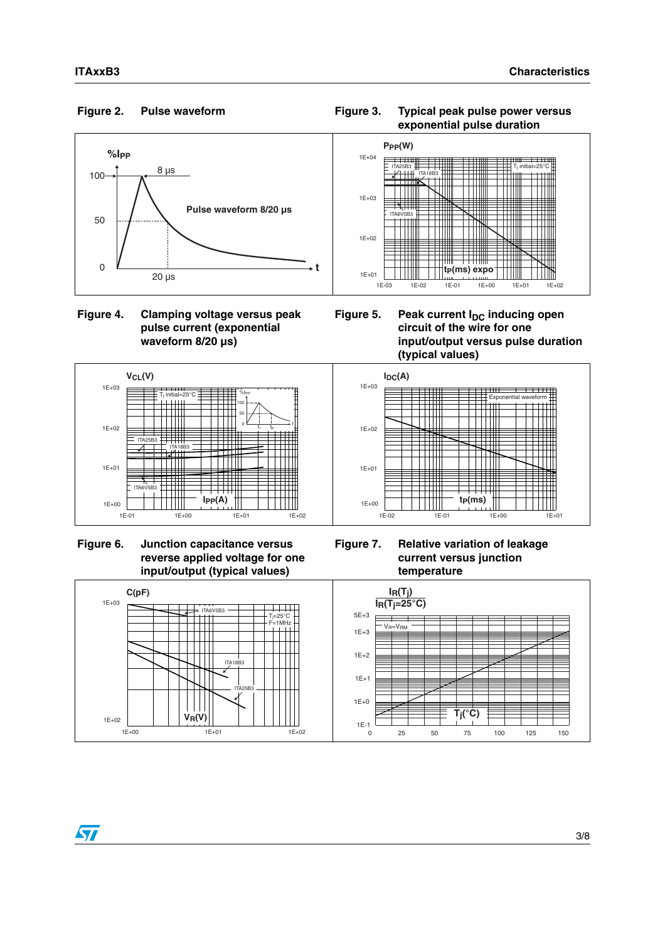### <span id="page-2-0"></span>**Pulse waveform**



### **Figure 4. Clamping voltage versus peak pulse current (exponential waveform 8/20 µs)**









Figure 5. Peak current I<sub>DC</sub> inducing open **circuit of the wire for one input/output versus pulse duration (typical values)**



**Figure 7. Relative variation of leakage current versus junction temperature**

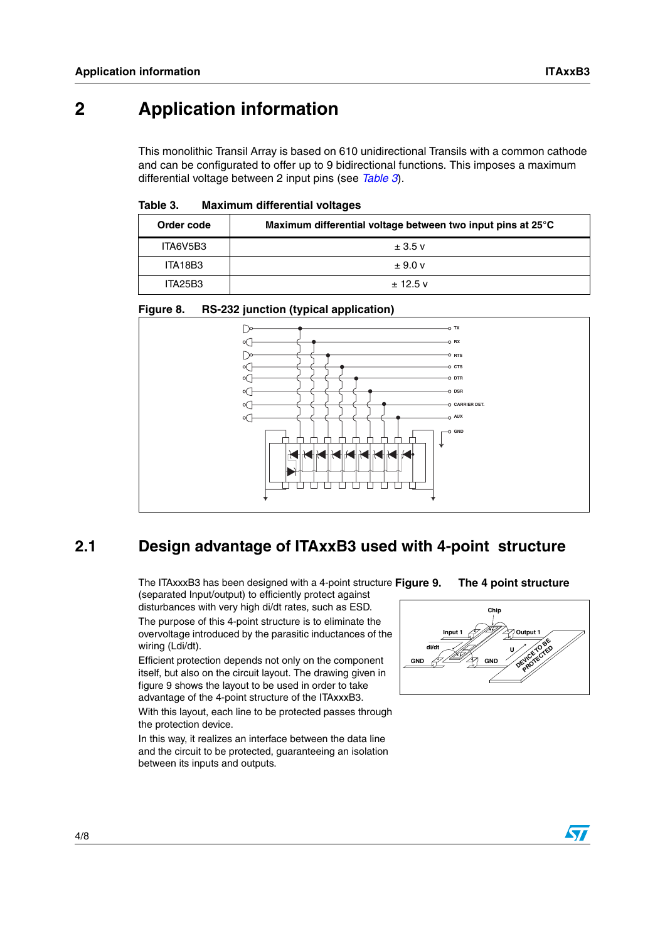## **2 Application information**

This monolithic Transil Array is based on 610 unidirectional Transils with a common cathode and can be configurated to offer up to 9 bidirectional functions. This imposes a maximum differential voltage between 2 input pins (see *[Table 3](#page-3-0)*).

#### <span id="page-3-0"></span>Table 3. **Table 3. Maximum differential voltages**

| Order code | Maximum differential voltage between two input pins at 25°C |
|------------|-------------------------------------------------------------|
| ITA6V5B3   | $\pm$ 3.5 v                                                 |
| ITA18B3    | $\pm$ 9.0 v                                                 |
| ITA25B3    | $± 12.5$ v                                                  |

### **Figure 8. RS-232 junction (typical application)**



## **2.1 Design advantage of ITAxxB3 used with 4-point structure**

The ITAxxxB3 has been designed with a 4-point structure Figure 9. (separated Input/output) to efficiently protect against

disturbances with very high di/dt rates, such as ESD. The purpose of this 4-point structure is to eliminate the overvoltage introduced by the parasitic inductances of the wiring (Ldi/dt).

Efficient protection depends not only on the component itself, but also on the circuit layout. The drawing given in figure 9 shows the layout to be used in order to take advantage of the 4-point structure of the ITAxxxB3.

With this layout, each line to be protected passes through the protection device.

In this way, it realizes an interface between the data line and the circuit to be protected, guaranteeing an isolation between its inputs and outputs.

### **The 4 point structure**



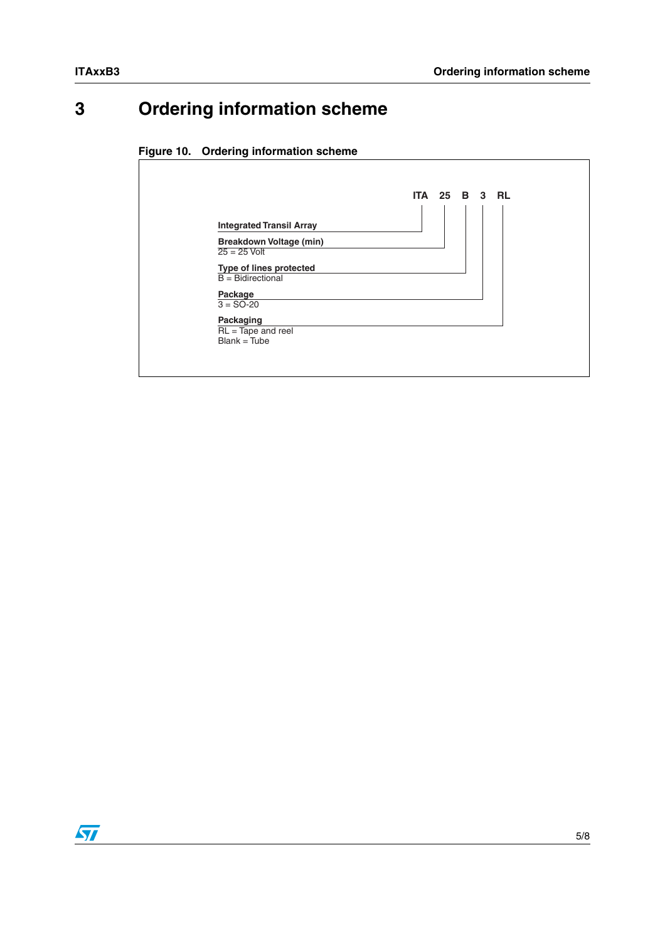# **3 Ordering information scheme**

### **Figure 10. Ordering information scheme**



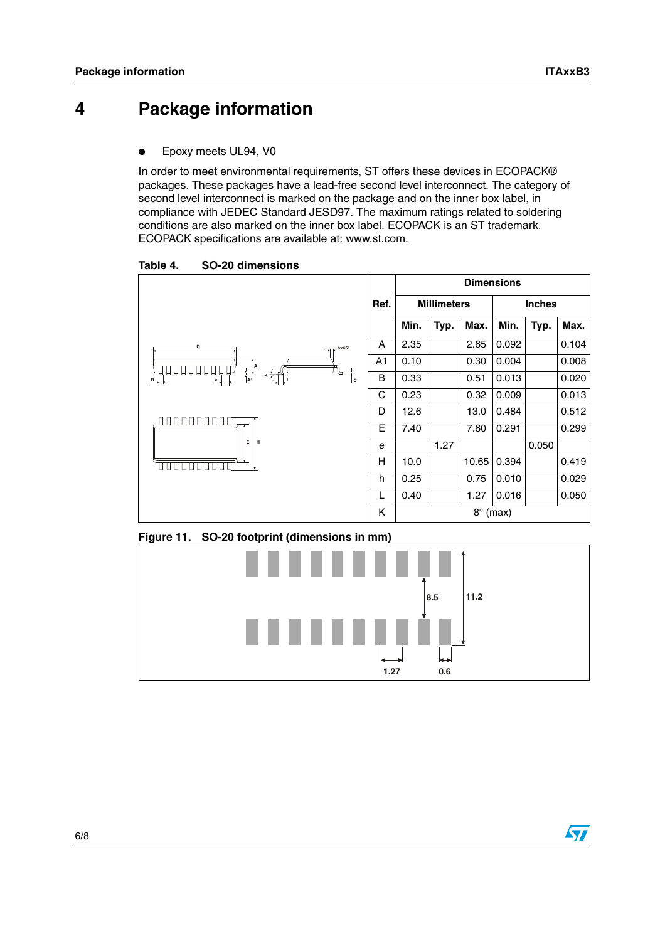## **4 Package information**

Epoxy meets UL94, V0

In order to meet environmental requirements, ST offers these devices in ECOPACK® packages. These packages have a lead-free second level interconnect. The category of second level interconnect is marked on the package and on the inner box label, in compliance with JEDEC Standard JESD97. The maximum ratings related to soldering conditions are also marked on the inner box label. ECOPACK is an ST trademark. ECOPACK specifications are available at: www.st.com.

Table 4. **Table 4. SO-20 dimensions**







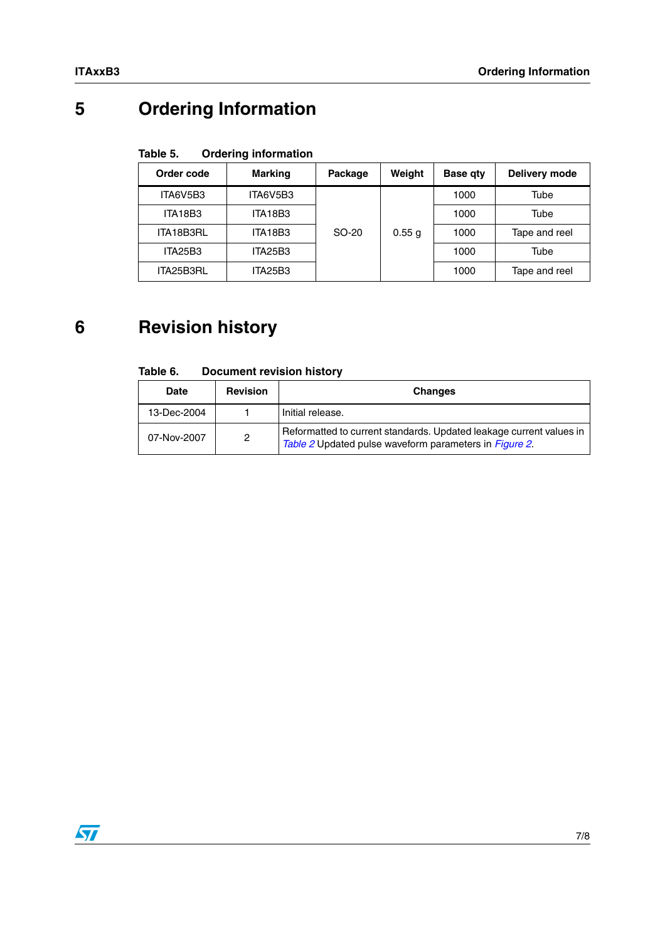# **5 Ordering Information**

#### Table 5. **Ordering information**

| Order code | <b>Marking</b> | Package | Weight | <b>Base qty</b> | Delivery mode |
|------------|----------------|---------|--------|-----------------|---------------|
| ITA6V5B3   | ITA6V5B3       |         |        | 1000            | Tube          |
| ITA18B3    | ITA18B3        |         |        | 1000            | Tube          |
| ITA18B3RL  | ITA18B3        | SO-20   | 0.55 g | 1000            | Tape and reel |
| ITA25B3    | ITA25B3        |         |        | 1000            | Tube          |
| ITA25B3RL  | ITA25B3        |         |        | 1000            | Tape and reel |

# **6 Revision history**

| Table 6. | <b>Document revision history</b> |  |  |
|----------|----------------------------------|--|--|
|----------|----------------------------------|--|--|

| Date        | <b>Revision</b> | <b>Changes</b>                                                                                                                |
|-------------|-----------------|-------------------------------------------------------------------------------------------------------------------------------|
| 13-Dec-2004 |                 | Initial release.                                                                                                              |
| 07-Nov-2007 | $\overline{2}$  | Reformatted to current standards. Updated leakage current values in<br>Table 2 Updated pulse waveform parameters in Figure 2. |